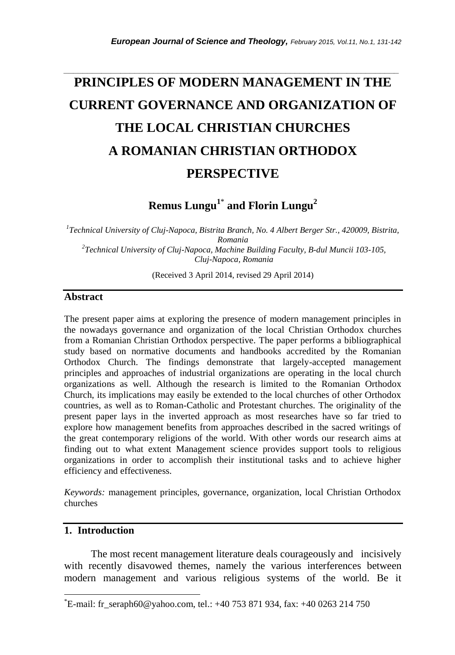# **PRINCIPLES OF MODERN MANAGEMENT IN THE CURRENT GOVERNANCE AND ORGANIZATION OF THE LOCAL CHRISTIAN CHURCHES A ROMANIAN CHRISTIAN ORTHODOX PERSPECTIVE**

*\_\_\_\_\_\_\_\_\_\_\_\_\_\_\_\_\_\_\_\_\_\_\_\_\_\_\_\_\_\_\_\_\_\_\_\_\_\_\_\_\_\_\_\_\_\_\_\_\_\_\_\_\_\_\_\_\_\_\_\_\_\_\_\_\_\_\_\_\_\_\_*

**Remus Lungu<sup>1</sup>**\* **and Florin Lungu<sup>2</sup>**

*1 Technical University of Cluj-Napoca, Bistrita Branch, No. 4 Albert Berger Str., 420009, Bistrita, Romania 2 Technical University of Cluj-Napoca, Machine Building Faculty, B-dul Muncii 103-105, Cluj-Napoca, Romania*

(Received 3 April 2014, revised 29 April 2014)

#### **Abstract**

The present paper aims at exploring the presence of modern management principles in the nowadays governance and organization of the local Christian Orthodox churches from a Romanian Christian Orthodox perspective. The paper performs a bibliographical study based on normative documents and handbooks accredited by the Romanian Orthodox Church. The findings demonstrate that largely-accepted management principles and approaches of industrial organizations are operating in the local church organizations as well. Although the research is limited to the Romanian Orthodox Church, its implications may easily be extended to the local churches of other Orthodox countries, as well as to Roman-Catholic and Protestant churches. The originality of the present paper lays in the inverted approach as most researches have so far tried to explore how management benefits from approaches described in the sacred writings of the great contemporary religions of the world. With other words our research aims at finding out to what extent Management science provides support tools to religious organizations in order to accomplish their institutional tasks and to achieve higher efficiency and effectiveness.

*Keywords:* management principles, governance, organization, local Christian Orthodox churches

## **1. Introduction**

l

The most recent management literature deals courageously and incisively with recently disavowed themes, namely the various interferences between modern management and various religious systems of the world. Be it

 $E$ <sup>\*</sup>E-mail: fr\_seraph60@yahoo.com, tel.: +40 753 871 934, fax: +40 0263 214 750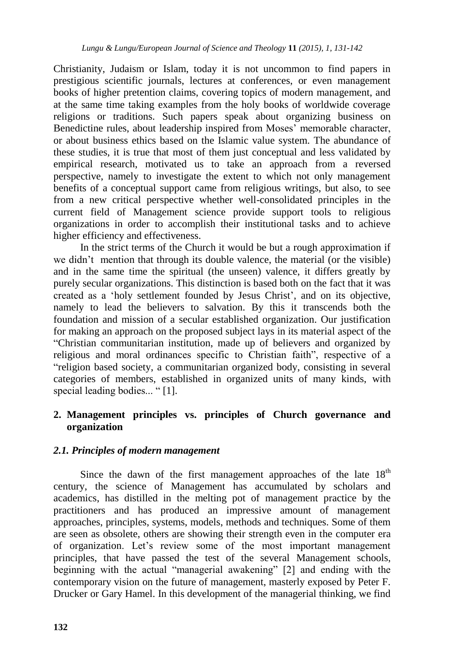Christianity, Judaism or Islam, today it is not uncommon to find papers in prestigious scientific journals, lectures at conferences, or even management books of higher pretention claims, covering topics of modern management, and at the same time taking examples from the holy books of worldwide coverage religions or traditions. Such papers speak about organizing business on Benedictine rules, about leadership inspired from Moses' memorable character, or about business ethics based on the Islamic value system. The abundance of these studies, it is true that most of them just conceptual and less validated by empirical research, motivated us to take an approach from a reversed perspective, namely to investigate the extent to which not only management benefits of a conceptual support came from religious writings, but also, to see from a new critical perspective whether well-consolidated principles in the current field of Management science provide support tools to religious organizations in order to accomplish their institutional tasks and to achieve higher efficiency and effectiveness.

In the strict terms of the Church it would be but a rough approximation if we didn"t mention that through its double valence, the material (or the visible) and in the same time the spiritual (the unseen) valence, it differs greatly by purely secular organizations. This distinction is based both on the fact that it was created as a "holy settlement founded by Jesus Christ", and on its objective, namely to lead the believers to salvation. By this it transcends both the foundation and mission of a secular established organization. Our justification for making an approach on the proposed subject lays in its material aspect of the "Christian communitarian institution, made up of believers and organized by religious and moral ordinances specific to Christian faith", respective of a "religion based society, a communitarian organized body, consisting in several categories of members, established in organized units of many kinds, with special leading bodies... "[1].

## **2. Management principles vs. principles of Church governance and organization**

# *2.1. Principles of modern management*

Since the dawn of the first management approaches of the late  $18<sup>th</sup>$ century, the science of Management has accumulated by scholars and academics, has distilled in the melting pot of management practice by the practitioners and has produced an impressive amount of management approaches, principles, systems, models, methods and techniques. Some of them are seen as obsolete, others are showing their strength even in the computer era of organization. Let"s review some of the most important management principles, that have passed the test of the several Management schools, beginning with the actual "managerial awakening" [2] and ending with the contemporary vision on the future of management, masterly exposed by Peter F. Drucker or Gary Hamel. In this development of the managerial thinking, we find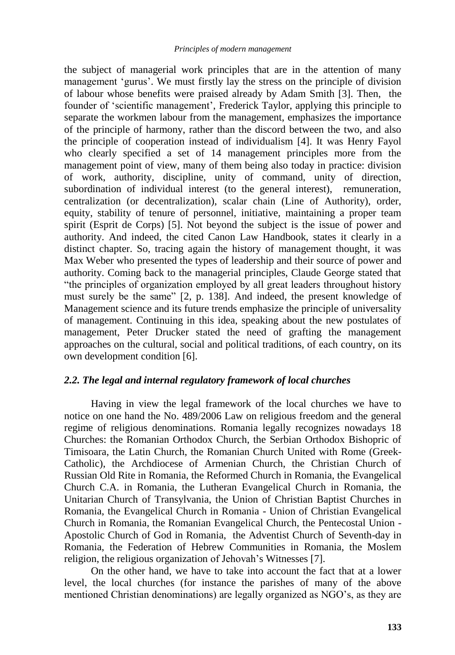the subject of managerial work principles that are in the attention of many management "gurus". We must firstly lay the stress on the principle of division of labour whose benefits were praised already by Adam Smith [3]. Then, the founder of 'scientific management', Frederick Taylor, applying this principle to separate the workmen labour from the management, emphasizes the importance of the principle of harmony, rather than the discord between the two, and also the principle of cooperation instead of individualism [4]. It was Henry Fayol who clearly specified a set of 14 management principles more from the management point of view, many of them being also today in practice: division of work, authority, discipline, unity of command, unity of direction, subordination of individual interest (to the general interest), remuneration, centralization (or decentralization), scalar chain (Line of Authority), order, equity, stability of tenure of personnel, initiative, maintaining a proper team spirit (Esprit de Corps) [5]. Not beyond the subject is the issue of power and authority. And indeed, the cited Canon Law Handbook, states it clearly in a distinct chapter. So, tracing again the history of management thought, it was Max Weber who presented the types of leadership and their source of power and authority. Coming back to the managerial principles, Claude George stated that "the principles of organization employed by all great leaders throughout history must surely be the same" [2, p. 138]. And indeed, the present knowledge of Management science and its future trends emphasize the principle of universality of management. Continuing in this idea, speaking about the new postulates of management, Peter Drucker stated the need of grafting the management approaches on the cultural, social and political traditions, of each country, on its own development condition [6].

#### *2.2. The legal and internal regulatory framework of local churches*

Having in view the legal framework of the local churches we have to notice on one hand the No. 489/2006 Law on religious freedom and the general regime of religious denominations. Romania legally recognizes nowadays 18 Churches: the Romanian Orthodox Church, the Serbian Orthodox Bishopric of Timisoara, the Latin Church, the Romanian Church United with Rome (Greek-Catholic), the Archdiocese of Armenian Church, the Christian Church of Russian Old Rite in Romania, the Reformed Church in Romania, the Evangelical Church C.A. in Romania, the Lutheran Evangelical Church in Romania, the Unitarian Church of Transylvania, the Union of Christian Baptist Churches in Romania, the Evangelical Church in Romania - Union of Christian Evangelical Church in Romania, the Romanian Evangelical Church, the Pentecostal Union - Apostolic Church of God in Romania, the Adventist Church of Seventh-day in Romania, the Federation of Hebrew Communities in Romania, the Moslem religion, the religious organization of Jehovah"s Witnesses [7].

On the other hand, we have to take into account the fact that at a lower level, the local churches (for instance the parishes of many of the above mentioned Christian denominations) are legally organized as NGO"s, as they are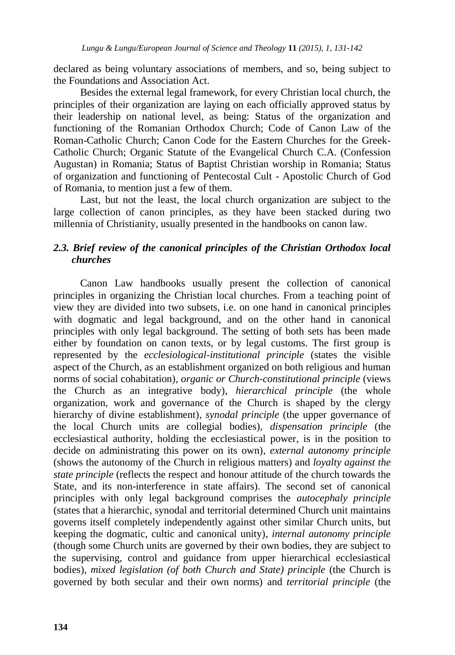declared as being voluntary associations of members, and so, being subject to the Foundations and Association Act.

Besides the external legal framework, for every Christian local church, the principles of their organization are laying on each officially approved status by their leadership on national level, as being: Status of the organization and functioning of the Romanian Orthodox Church; Code of Canon Law of the Roman-Catholic Church; Canon Code for the Eastern Churches for the Greek-Catholic Church; Organic Statute of the Evangelical Church C.A. (Confession Augustan) in Romania; Status of Baptist Christian worship in Romania; Status of organization and functioning of Pentecostal Cult - Apostolic Church of God of Romania, to mention just a few of them.

Last, but not the least, the local church organization are subject to the large collection of canon principles, as they have been stacked during two millennia of Christianity, usually presented in the handbooks on canon law.

## *2.3. Brief review of the canonical principles of the Christian Orthodox local churches*

Canon Law handbooks usually present the collection of canonical principles in organizing the Christian local churches. From a teaching point of view they are divided into two subsets, i.e. on one hand in canonical principles with dogmatic and legal background, and on the other hand in canonical principles with only legal background. The setting of both sets has been made either by foundation on canon texts, or by legal customs. The first group is represented by the *ecclesiological-institutional principle* (states the visible aspect of the Church, as an establishment organized on both religious and human norms of social cohabitation)*, organic or Church-constitutional principle* (views the Church as an integrative body)*, hierarchical principle* (the whole organization, work and governance of the Church is shaped by the clergy hierarchy of divine establishment)*, synodal principle* (the upper governance of the local Church units are collegial bodies)*, dispensation principle* (the ecclesiastical authority, holding the ecclesiastical power, is in the position to decide on administrating this power on its own)*, external autonomy principle* (shows the autonomy of the Church in religious matters) and *loyalty against the state principle* (reflects the respect and honour attitude of the church towards the State, and its non-interference in state affairs). The second set of canonical principles with only legal background comprises the *autocephaly principle* (states that a hierarchic, synodal and territorial determined Church unit maintains governs itself completely independently against other similar Church units, but keeping the dogmatic, cultic and canonical unity)*, internal autonomy principle* (though some Church units are governed by their own bodies, they are subject to the supervising, control and guidance from upper hierarchical ecclesiastical bodies)*, mixed legislation (of both Church and State) principle* (the Church is governed by both secular and their own norms) and *territorial principle* (the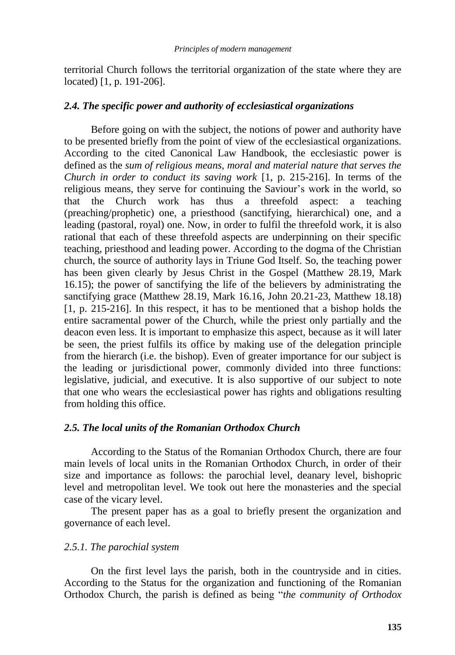territorial Church follows the territorial organization of the state where they are located) [1, p. 191-206].

#### *2.4. The specific power and authority of ecclesiastical organizations*

Before going on with the subject, the notions of power and authority have to be presented briefly from the point of view of the ecclesiastical organizations. According to the cited Canonical Law Handbook, the ecclesiastic power is defined as the *sum of religious means, moral and material nature that serves the Church in order to conduct its saving work* [1, p. 215-216]. In terms of the religious means, they serve for continuing the Saviour's work in the world, so that the Church work has thus a threefold aspect: a teaching (preaching/prophetic) one, a priesthood (sanctifying, hierarchical) one, and a leading (pastoral, royal) one. Now, in order to fulfil the threefold work, it is also rational that each of these threefold aspects are underpinning on their specific teaching, priesthood and leading power. According to the dogma of the Christian church, the source of authority lays in Triune God Itself. So, the teaching power has been given clearly by Jesus Christ in the Gospel (Matthew 28.19, Mark 16.15); the power of sanctifying the life of the believers by administrating the sanctifying grace (Matthew 28.19, Mark 16.16, John 20.21-23, Matthew 18.18) [1, p. 215-216]. In this respect, it has to be mentioned that a bishop holds the entire sacramental power of the Church, while the priest only partially and the deacon even less. It is important to emphasize this aspect, because as it will later be seen, the priest fulfils its office by making use of the delegation principle from the hierarch (i.e. the bishop). Even of greater importance for our subject is the leading or jurisdictional power, commonly divided into three functions: legislative, judicial, and executive. It is also supportive of our subject to note that one who wears the ecclesiastical power has rights and obligations resulting from holding this office.

#### *2.5. The local units of the Romanian Orthodox Church*

According to the Status of the Romanian Orthodox Church, there are four main levels of local units in the Romanian Orthodox Church, in order of their size and importance as follows: the parochial level, deanary level, bishopric level and metropolitan level. We took out here the monasteries and the special case of the vicary level.

The present paper has as a goal to briefly present the organization and governance of each level.

#### *2.5.1. The parochial system*

On the first level lays the parish, both in the countryside and in cities. According to the Status for the organization and functioning of the Romanian Orthodox Church, the parish is defined as being "*the community of Orthodox*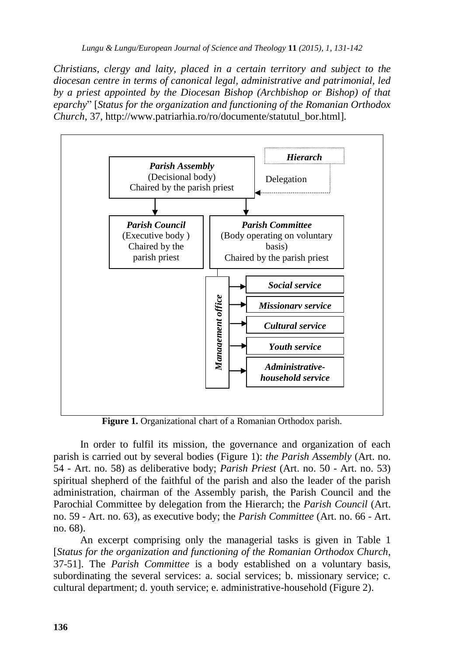*Christians, clergy and laity, placed in a certain territory and subject to the diocesan centre in terms of canonical legal, administrative and patrimonial, led by a priest appointed by the Diocesan Bishop (Archbishop or Bishop) of that eparchy*" [*Status for the organization and functioning of the Romanian Orthodox Church*, 37, http://www.patriarhia.ro/ro/documente/statutul\_bor.html]*.*



**Figure 1.** Organizational chart of a Romanian Orthodox parish.

In order to fulfil its mission, the governance and organization of each parish is carried out by several bodies (Figure 1): *the Parish Assembly* (Art. no. 54 - Art. no. 58) as deliberative body; *Parish Priest* (Art. no. 50 - Art. no. 53) spiritual shepherd of the faithful of the parish and also the leader of the parish administration, chairman of the Assembly parish, the Parish Council and the Parochial Committee by delegation from the Hierarch; the *Parish Council* (Art. no. 59 - Art. no. 63), as executive body; the *Parish Committee* (Art. no. 66 - Art. no. 68).

An excerpt comprising only the managerial tasks is given in Table 1 [*Status for the organization and functioning of the Romanian Orthodox Church*, 37-51]. The *Parish Committee* is a body established on a voluntary basis, subordinating the several services: a. social services; b. missionary service; c. cultural department; d. youth service; e. administrative-household (Figure 2).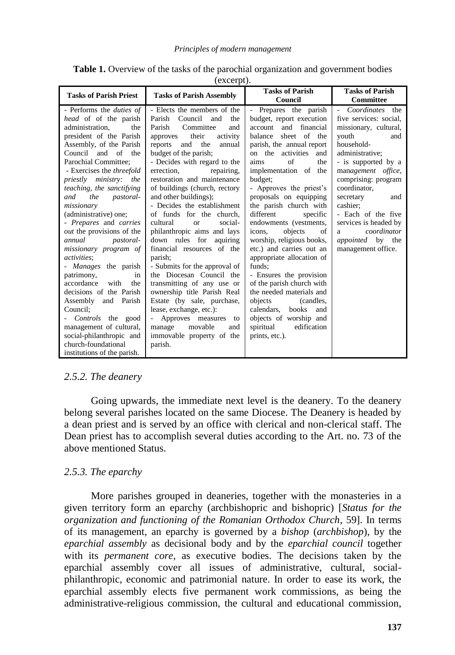| <b>Tasks of Parish Priest</b>                                                                                                                                                                                                                                                                                                                                                                                                                                                                                                                                                                                                                                                                                                                                    | <b>Tasks of Parish Assembly</b>                                                                                                                                                                                                                                                                                                                                                                                                                                                                                                                                                                                                                                                                                                                                                                                                   | <b>Tasks of Parish</b><br>Council                                                                                                                                                                                                                                                                                                                                                                                                                                                                                                                                                                                                                                                                                                   | <b>Tasks of Parish</b><br>Committee                                                                                                                                                                                                                                                                                                                                   |
|------------------------------------------------------------------------------------------------------------------------------------------------------------------------------------------------------------------------------------------------------------------------------------------------------------------------------------------------------------------------------------------------------------------------------------------------------------------------------------------------------------------------------------------------------------------------------------------------------------------------------------------------------------------------------------------------------------------------------------------------------------------|-----------------------------------------------------------------------------------------------------------------------------------------------------------------------------------------------------------------------------------------------------------------------------------------------------------------------------------------------------------------------------------------------------------------------------------------------------------------------------------------------------------------------------------------------------------------------------------------------------------------------------------------------------------------------------------------------------------------------------------------------------------------------------------------------------------------------------------|-------------------------------------------------------------------------------------------------------------------------------------------------------------------------------------------------------------------------------------------------------------------------------------------------------------------------------------------------------------------------------------------------------------------------------------------------------------------------------------------------------------------------------------------------------------------------------------------------------------------------------------------------------------------------------------------------------------------------------------|-----------------------------------------------------------------------------------------------------------------------------------------------------------------------------------------------------------------------------------------------------------------------------------------------------------------------------------------------------------------------|
| - Performs the <i>duties of</i><br>head of of the parish<br>administration.<br>the<br>president of the Parish<br>Assembly, of the Parish<br>Council and of the<br>Parochial Committee:<br>- Exercises the threefold<br>priestly ministry; the<br>teaching, the sanctifying<br><i>pastoral-</i><br>the<br>and<br>missionary<br>(administrative) one;<br>- Prepares and carries<br><i>out</i> the provisions of the<br>annual<br><i>pastoral-</i><br>missionary program of<br>activities:<br>- Manages the parish<br>patrimony,<br>in<br>accordance<br>with<br>the<br>decisions of the Parish<br>Assembly and Parish<br>Council:<br>Controls the good<br>management of cultural,<br>social-philanthropic and<br>church-foundational<br>institutions of the parish. | - Elects the members of the<br>Council<br>Parish<br>and<br>the<br>Parish<br>Committee<br>and<br>their<br>activity<br>approves<br>and<br>the<br>reports<br>annual<br>budget of the parish;<br>- Decides with regard to the<br>errection.<br>repairing.<br>restoration and maintenance<br>of buildings (church, rectory<br>and other buildings);<br>- Decides the establishment<br>of funds for the church.<br>cultural<br>social-<br>$\alpha$<br>philanthropic aims and lays<br>down rules for<br>aquiring<br>financial resources of the<br>parish;<br>- Submits for the approval of<br>the Diocesan Council the<br>transmitting of any use or<br>ownership title Parish Real<br>Estate (by sale, purchase,<br>lease, exchange, etc.):<br>Approves measures to<br>movable<br>manage<br>and<br>immovable property of the<br>parish. | Prepares the parish<br>$\overline{\phantom{a}}$<br>budget, report execution<br>and<br>financial<br>account<br>sheet of the<br>balance<br>parish, the annual report<br>on the activities<br>and<br>the<br>aims<br>of<br>implementation of the<br>budget;<br>- Approves the priest's<br>proposals on equipping<br>the parish church with<br>different<br>specific<br>endowments (vestments,<br>objects<br>icons.<br>οf<br>worship, religious books,<br>etc.) and carries out an<br>appropriate allocation of<br>funds:<br>- Ensures the provision<br>of the parish church with<br>the needed materials and<br>(candles,<br>objects<br>calendars, books<br>and<br>objects of worship and<br>edification<br>spiritual<br>prints, etc.). | Coordinates the<br>$\sim$<br>five services: social,<br>missionary, cultural,<br>youth<br>and<br>household-<br>administrative;<br>- is supported by a<br>management office,<br>comprising: program<br>coordinator.<br>secretary<br>and<br>cashier;<br>- Each of the five<br>services is headed by<br>coordinator<br>a<br><i>appointed</i> by the<br>management office. |

**Table 1.** Overview of the tasks of the parochial organization and government bodies

(excerpt).

## *2.5.2. The deanery*

Going upwards, the immediate next level is the deanery. To the deanery belong several parishes located on the same Diocese. The Deanery is headed by a dean priest and is served by an office with clerical and non-clerical staff. The Dean priest has to accomplish several duties according to the Art. no. 73 of the above mentioned Status.

## *2.5.3. The eparchy*

More parishes grouped in deaneries, together with the monasteries in a given territory form an eparchy (archbishopric and bishopric) [*Status for the organization and functioning of the Romanian Orthodox Church*, 59]. In terms of its management, an eparchy is governed by a *bishop* (*archbishop*), by the *eparchial assembly* as decisional body and by the *eparchial council* together with its *permanent core*, as executive bodies. The decisions taken by the eparchial assembly cover all issues of administrative, cultural, socialphilanthropic, economic and patrimonial nature. In order to ease its work, the eparchial assembly elects five permanent work commissions, as being the administrative-religious commission, the cultural and educational commission,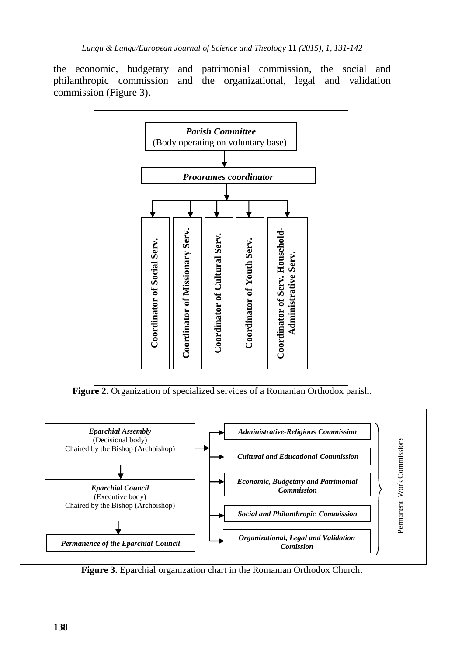the economic, budgetary and patrimonial commission, the social and philanthropic commission and the organizational, legal and validation commission (Figure 3).



**Figure 2.** Organization of specialized services of a Romanian Orthodox parish.



**Figure 3.** Eparchial organization chart in the Romanian Orthodox Church.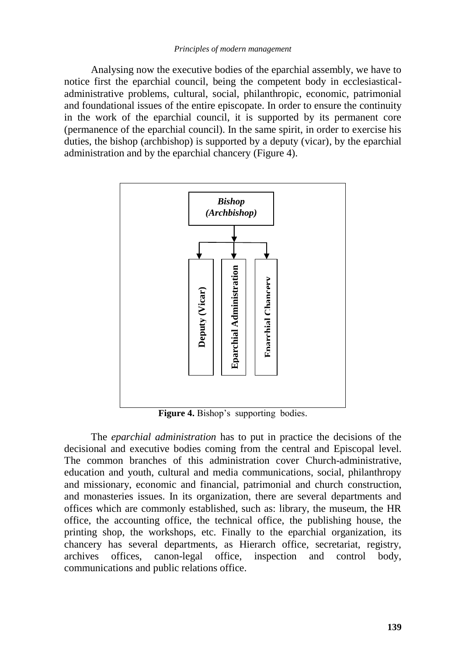Analysing now the executive bodies of the eparchial assembly, we have to notice first the eparchial council, being the competent body in ecclesiasticaladministrative problems, cultural, social, philanthropic, economic, patrimonial and foundational issues of the entire episcopate. In order to ensure the continuity in the work of the eparchial council, it is supported by its permanent core (permanence of the eparchial council). In the same spirit, in order to exercise his duties, the bishop (archbishop) is supported by a deputy (vicar), by the eparchial administration and by the eparchial chancery (Figure 4).



**Figure 4.** Bishop's supporting bodies.

The *eparchial administration* has to put in practice the decisions of the decisional and executive bodies coming from the central and Episcopal level. The common branches of this administration cover Church-administrative, education and youth, cultural and media communications, social, philanthropy and missionary, economic and financial, patrimonial and church construction, and monasteries issues. In its organization, there are several departments and offices which are commonly established, such as: library, the museum, the HR office, the accounting office, the technical office, the publishing house, the printing shop, the workshops, etc. Finally to the eparchial organization, its chancery has several departments, as Hierarch office, secretariat, registry, archives offices, canon-legal office, inspection and control body, communications and public relations office.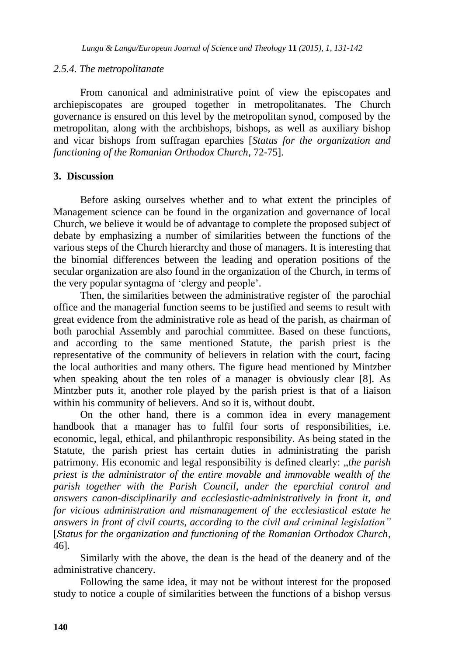## *2.5.4. The metropolitanate*

From canonical and administrative point of view the episcopates and archiepiscopates are grouped together in metropolitanates. The Church governance is ensured on this level by the metropolitan synod, composed by the metropolitan, along with the archbishops, bishops, as well as auxiliary bishop and vicar bishops from suffragan eparchies [*Status for the organization and functioning of the Romanian Orthodox Church*, 72-75].

## **3. Discussion**

Before asking ourselves whether and to what extent the principles of Management science can be found in the organization and governance of local Church, we believe it would be of advantage to complete the proposed subject of debate by emphasizing a number of similarities between the functions of the various steps of the Church hierarchy and those of managers. It is interesting that the binomial differences between the leading and operation positions of the secular organization are also found in the organization of the Church, in terms of the very popular syntagma of "clergy and people".

Then, the similarities between the administrative register of the parochial office and the managerial function seems to be justified and seems to result with great evidence from the administrative role as head of the parish, as chairman of both parochial Assembly and parochial committee. Based on these functions, and according to the same mentioned Statute, the parish priest is the representative of the community of believers in relation with the court, facing the local authorities and many others. The figure head mentioned by Mintzber when speaking about the ten roles of a manager is obviously clear [8]. As Mintzber puts it, another role played by the parish priest is that of a liaison within his community of believers. And so it is, without doubt.

On the other hand, there is a common idea in every management handbook that a manager has to fulfil four sorts of responsibilities, i.e. economic, legal, ethical, and philanthropic responsibility. As being stated in the Statute, the parish priest has certain duties in administrating the parish patrimony. His economic and legal responsibility is defined clearly: "*the parish priest is the administrator of the entire movable and immovable wealth of the parish together with the Parish Council, under the eparchial control and answers canon-disciplinarily and ecclesiastic-administratively in front it, and for vicious administration and mismanagement of the ecclesiastical estate he answers in front of civil courts, according to the civil and criminal legislation"* [*Status for the organization and functioning of the Romanian Orthodox Church*, 46]*.*

Similarly with the above, the dean is the head of the deanery and of the administrative chancery.

Following the same idea, it may not be without interest for the proposed study to notice a couple of similarities between the functions of a bishop versus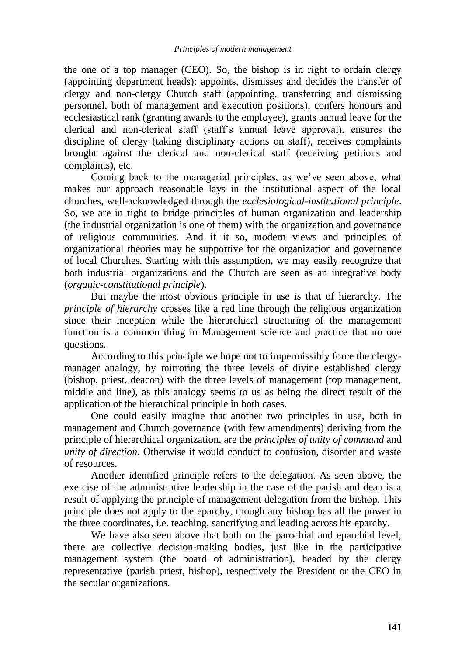the one of a top manager (CEO). So, the bishop is in right to ordain clergy (appointing department heads): appoints, dismisses and decides the transfer of clergy and non-clergy Church staff (appointing, transferring and dismissing personnel, both of management and execution positions), confers honours and ecclesiastical rank (granting awards to the employee), grants annual leave for the clerical and non-clerical staff (staff"s annual leave approval), ensures the discipline of clergy (taking disciplinary actions on staff), receives complaints brought against the clerical and non-clerical staff (receiving petitions and complaints), etc.

Coming back to the managerial principles, as we"ve seen above, what makes our approach reasonable lays in the institutional aspect of the local churches, well-acknowledged through the *ecclesiological-institutional principle*. So, we are in right to bridge principles of human organization and leadership (the industrial organization is one of them) with the organization and governance of religious communities. And if it so, modern views and principles of organizational theories may be supportive for the organization and governance of local Churches. Starting with this assumption, we may easily recognize that both industrial organizations and the Church are seen as an integrative body (*organic-constitutional principle*).

But maybe the most obvious principle in use is that of hierarchy. The *principle of hierarchy* crosses like a red line through the religious organization since their inception while the hierarchical structuring of the management function is a common thing in Management science and practice that no one questions.

According to this principle we hope not to impermissibly force the clergymanager analogy, by mirroring the three levels of divine established clergy (bishop, priest, deacon) with the three levels of management (top management, middle and line), as this analogy seems to us as being the direct result of the application of the hierarchical principle in both cases.

One could easily imagine that another two principles in use, both in management and Church governance (with few amendments) deriving from the principle of hierarchical organization, are the *principles of unity of command* and *unity of direction*. Otherwise it would conduct to confusion, disorder and waste of resources.

Another identified principle refers to the delegation. As seen above, the exercise of the administrative leadership in the case of the parish and dean is a result of applying the principle of management delegation from the bishop. This principle does not apply to the eparchy, though any bishop has all the power in the three coordinates, i.e. teaching, sanctifying and leading across his eparchy.

We have also seen above that both on the parochial and eparchial level, there are collective decision-making bodies, just like in the participative management system (the board of administration), headed by the clergy representative (parish priest, bishop), respectively the President or the CEO in the secular organizations.